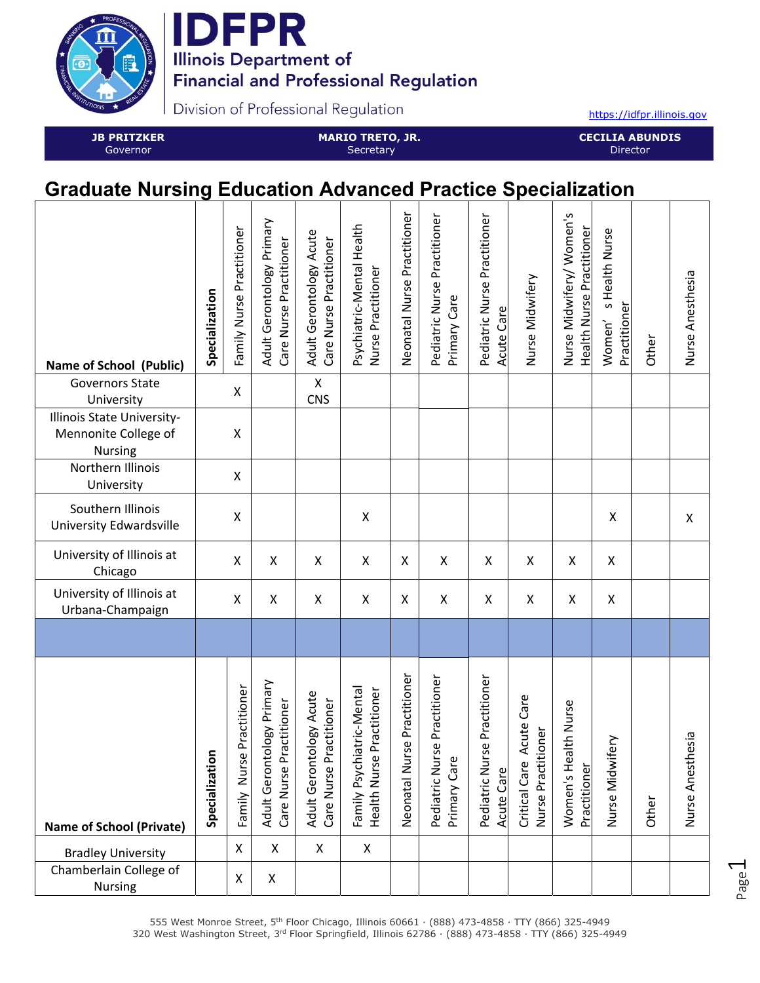

**IDFPR Illinois Department of Financial and Professional Regulation** 

Division of Professional Regulation

https://idfpr.illinois.gov

**JB PRITZKER**  Governor

**MARIO TRETO, JR. Secretary** 

**CECILIA ABUNDIS**  Director

## **Graduate Nursing Education Advanced Practice Specialization**

| <b>Name of School (Public)</b><br><b>Governors State</b>      | Specialization | Family Nurse Practitioner | Adult Gerontology Primary<br>Care Nurse Practitioner | Adult Gerontology Acute<br>Care Nurse Practitioner<br>$\pmb{\mathsf{X}}$ | Psychiatric-Mental Health<br>Nurse Practitioner             | Neonatal Nurse Practitioner | Pediatric Nurse Practitioner<br>Primary Care | Pediatric Nurse Practitioner<br><b>Acute Care</b> | Nurse Midwifery                                        | Nurse Midwifery/ Women's<br><b>Health Nurse Practitioner</b> | s Health Nurse<br>Practitioner<br>Women' | Other | Nurse Anesthesia          |
|---------------------------------------------------------------|----------------|---------------------------|------------------------------------------------------|--------------------------------------------------------------------------|-------------------------------------------------------------|-----------------------------|----------------------------------------------|---------------------------------------------------|--------------------------------------------------------|--------------------------------------------------------------|------------------------------------------|-------|---------------------------|
| University                                                    |                | X                         |                                                      | <b>CNS</b>                                                               |                                                             |                             |                                              |                                                   |                                                        |                                                              |                                          |       |                           |
| Illinois State University-<br>Mennonite College of<br>Nursing |                | $\pmb{\mathsf{X}}$        |                                                      |                                                                          |                                                             |                             |                                              |                                                   |                                                        |                                                              |                                          |       |                           |
| Northern Illinois<br>University                               |                | Χ                         |                                                      |                                                                          |                                                             |                             |                                              |                                                   |                                                        |                                                              |                                          |       |                           |
| Southern Illinois<br><b>University Edwardsville</b>           |                | Χ                         |                                                      |                                                                          | $\boldsymbol{\mathsf{X}}$                                   |                             |                                              |                                                   |                                                        |                                                              | X                                        |       | $\boldsymbol{\mathsf{X}}$ |
| University of Illinois at<br>Chicago                          |                | Χ                         | X                                                    | X                                                                        | $\pmb{\mathsf{X}}$                                          | X                           | X                                            | $\pmb{\mathsf{X}}$                                | X                                                      | $\mathsf{\chi}$                                              | X                                        |       |                           |
| University of Illinois at<br>Urbana-Champaign                 |                | $\pmb{\mathsf{X}}$        | Χ                                                    | X                                                                        | X                                                           | X                           | $\mathsf X$                                  | $\pmb{\mathsf{X}}$                                | X                                                      | $\pmb{\mathsf{X}}$                                           | $\pmb{\mathsf{X}}$                       |       |                           |
|                                                               |                |                           |                                                      |                                                                          |                                                             |                             |                                              |                                                   |                                                        |                                                              |                                          |       |                           |
| <b>Name of School (Private)</b>                               | Specialization | Family Nurse Practitioner | Adult Gerontology Primary<br>Care Nurse Practitioner | Adult Gerontology Acute<br>Care Nurse Practitioner                       | niatric-Mental<br>Health Nurse Practitioner<br>Family Psych | Neonatal Nurse Practitioner | Pediatric Nurse Practitioner<br>Primary Care | Pediatric Nurse Practitioner<br><b>Acute Care</b> | Acute Care<br>itioner<br>Critical Care<br>Nurse Practi | alth Nurse<br>Women's He<br>Practitioner                     | ifery<br>Nurse Midw                      | Other | hesia<br>Nurse Anest      |
| <b>Bradley University</b>                                     |                | X                         | $\pmb{\times}$                                       | $\pmb{\times}$                                                           | X                                                           |                             |                                              |                                                   |                                                        |                                                              |                                          |       |                           |
| Chamberlain College of<br>Nursing                             |                | X                         | X                                                    |                                                                          |                                                             |                             |                                              |                                                   |                                                        |                                                              |                                          |       |                           |

Page  $\overline{\phantom{0}}$